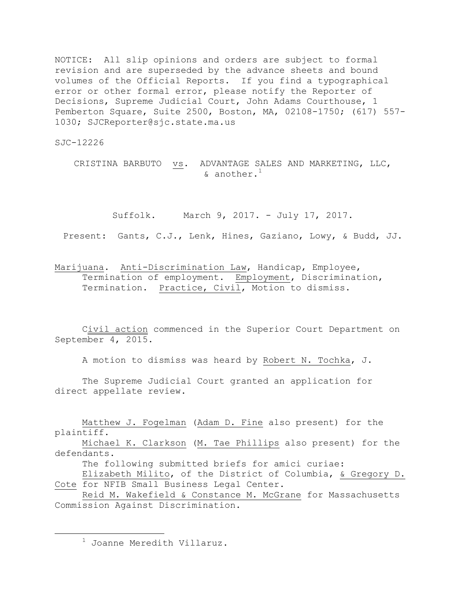NOTICE: All slip opinions and orders are subject to formal revision and are superseded by the advance sheets and bound volumes of the Official Reports. If you find a typographical error or other formal error, please notify the Reporter of Decisions, Supreme Judicial Court, John Adams Courthouse, 1 Pemberton Square, Suite 2500, Boston, MA, 02108-1750; (617) 557- 1030; SJCReporter@sjc.state.ma.us

SJC-12226

CRISTINA BARBUTO vs. ADVANTAGE SALES AND MARKETING, LLC, & another. 1

Suffolk. March 9, 2017. - July 17, 2017.

Present: Gants, C.J., Lenk, Hines, Gaziano, Lowy, & Budd, JJ.

Marijuana. Anti-Discrimination Law, Handicap, Employee, Termination of employment. Employment, Discrimination, Termination. Practice, Civil, Motion to dismiss.

Civil action commenced in the Superior Court Department on September 4, 2015.

A motion to dismiss was heard by Robert N. Tochka, J.

The Supreme Judicial Court granted an application for direct appellate review.

Matthew J. Fogelman (Adam D. Fine also present) for the plaintiff. Michael K. Clarkson (M. Tae Phillips also present) for the defendants. The following submitted briefs for amici curiae: Elizabeth Milito, of the District of Columbia, & Gregory D. Cote for NFIB Small Business Legal Center. Reid M. Wakefield & Constance M. McGrane for Massachusetts Commission Against Discrimination.

<sup>1</sup> Joanne Meredith Villaruz.

 $\overline{a}$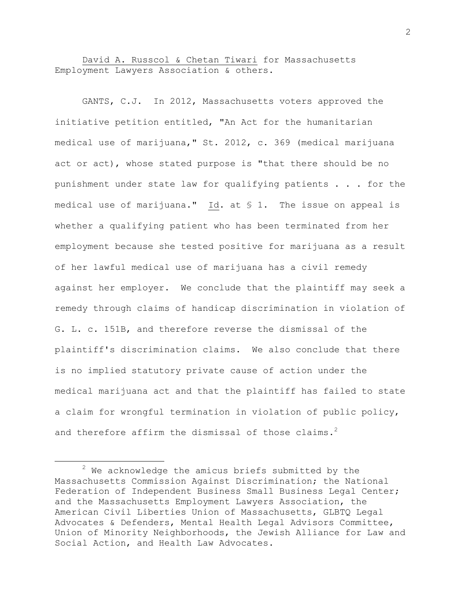David A. Russcol & Chetan Tiwari for Massachusetts Employment Lawyers Association & others.

GANTS, C.J. In 2012, Massachusetts voters approved the initiative petition entitled, "An Act for the humanitarian medical use of marijuana," St. 2012, c. 369 (medical marijuana act or act), whose stated purpose is "that there should be no punishment under state law for qualifying patients . . . for the medical use of marijuana." Id. at § 1. The issue on appeal is whether a qualifying patient who has been terminated from her employment because she tested positive for marijuana as a result of her lawful medical use of marijuana has a civil remedy against her employer. We conclude that the plaintiff may seek a remedy through claims of handicap discrimination in violation of G. L. c. 151B, and therefore reverse the dismissal of the plaintiff's discrimination claims. We also conclude that there is no implied statutory private cause of action under the medical marijuana act and that the plaintiff has failed to state a claim for wrongful termination in violation of public policy, and therefore affirm the dismissal of those claims.<sup>2</sup>

l

 $2$  We acknowledge the amicus briefs submitted by the Massachusetts Commission Against Discrimination; the National Federation of Independent Business Small Business Legal Center; and the Massachusetts Employment Lawyers Association, the American Civil Liberties Union of Massachusetts, GLBTQ Legal Advocates & Defenders, Mental Health Legal Advisors Committee, Union of Minority Neighborhoods, the Jewish Alliance for Law and Social Action, and Health Law Advocates.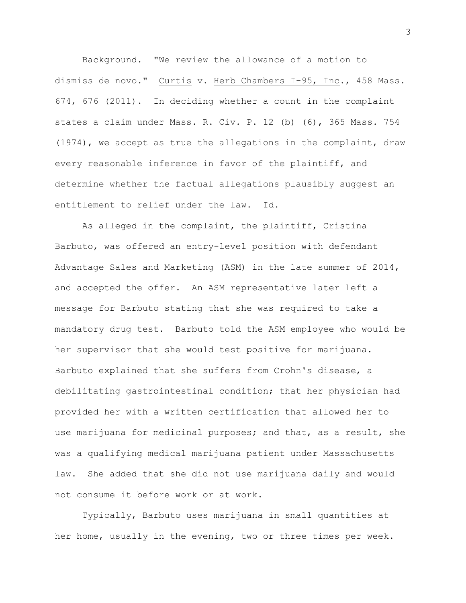Background. "We review the allowance of a motion to dismiss de novo." Curtis v. Herb Chambers I-95, Inc., 458 Mass. 674, 676 (2011). In deciding whether a count in the complaint states a claim under Mass. R. Civ. P. 12 (b) (6), 365 Mass. 754 (1974), we accept as true the allegations in the complaint, draw every reasonable inference in favor of the plaintiff, and determine whether the factual allegations plausibly suggest an entitlement to relief under the law. Id.

As alleged in the complaint, the plaintiff, Cristina Barbuto, was offered an entry-level position with defendant Advantage Sales and Marketing (ASM) in the late summer of 2014, and accepted the offer. An ASM representative later left a message for Barbuto stating that she was required to take a mandatory drug test. Barbuto told the ASM employee who would be her supervisor that she would test positive for marijuana. Barbuto explained that she suffers from Crohn's disease, a debilitating gastrointestinal condition; that her physician had provided her with a written certification that allowed her to use marijuana for medicinal purposes; and that, as a result, she was a qualifying medical marijuana patient under Massachusetts law. She added that she did not use marijuana daily and would not consume it before work or at work.

Typically, Barbuto uses marijuana in small quantities at her home, usually in the evening, two or three times per week.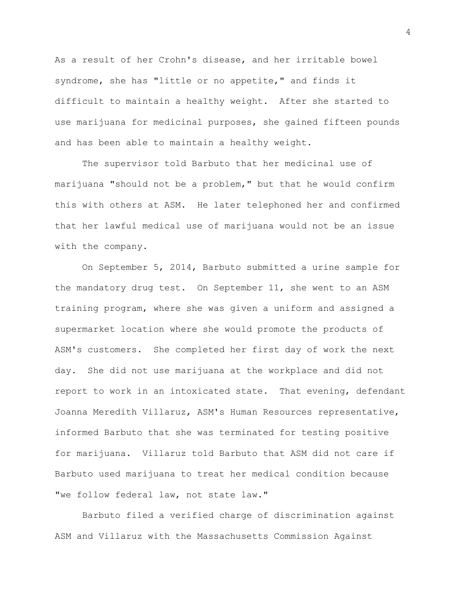As a result of her Crohn's disease, and her irritable bowel syndrome, she has "little or no appetite," and finds it difficult to maintain a healthy weight. After she started to use marijuana for medicinal purposes, she gained fifteen pounds and has been able to maintain a healthy weight.

The supervisor told Barbuto that her medicinal use of marijuana "should not be a problem," but that he would confirm this with others at ASM. He later telephoned her and confirmed that her lawful medical use of marijuana would not be an issue with the company.

On September 5, 2014, Barbuto submitted a urine sample for the mandatory drug test. On September 11, she went to an ASM training program, where she was given a uniform and assigned a supermarket location where she would promote the products of ASM's customers. She completed her first day of work the next day. She did not use marijuana at the workplace and did not report to work in an intoxicated state. That evening, defendant Joanna Meredith Villaruz, ASM's Human Resources representative, informed Barbuto that she was terminated for testing positive for marijuana. Villaruz told Barbuto that ASM did not care if Barbuto used marijuana to treat her medical condition because "we follow federal law, not state law."

Barbuto filed a verified charge of discrimination against ASM and Villaruz with the Massachusetts Commission Against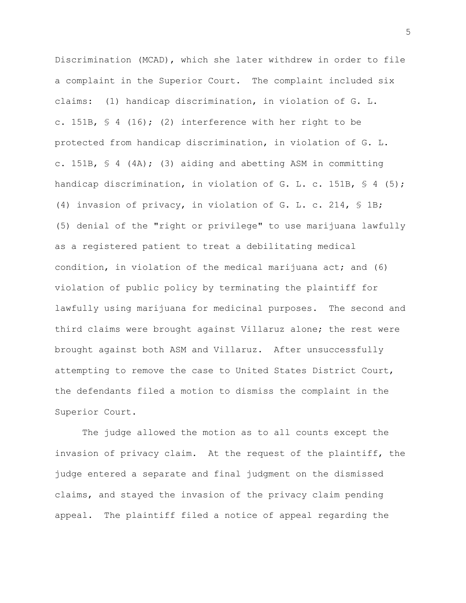Discrimination (MCAD), which she later withdrew in order to file a complaint in the Superior Court. The complaint included six claims: (1) handicap discrimination, in violation of G. L. c. 151B,  $\frac{6}{5}$  4 (16); (2) interference with her right to be protected from handicap discrimination, in violation of G. L. c. 151B, § 4 (4A); (3) aiding and abetting ASM in committing handicap discrimination, in violation of G. L. c. 151B, § 4 (5); (4) invasion of privacy, in violation of G. L. c. 214, § 1B; (5) denial of the "right or privilege" to use marijuana lawfully as a registered patient to treat a debilitating medical condition, in violation of the medical marijuana act; and (6) violation of public policy by terminating the plaintiff for lawfully using marijuana for medicinal purposes. The second and third claims were brought against Villaruz alone; the rest were brought against both ASM and Villaruz. After unsuccessfully attempting to remove the case to United States District Court, the defendants filed a motion to dismiss the complaint in the Superior Court.

The judge allowed the motion as to all counts except the invasion of privacy claim. At the request of the plaintiff, the judge entered a separate and final judgment on the dismissed claims, and stayed the invasion of the privacy claim pending appeal. The plaintiff filed a notice of appeal regarding the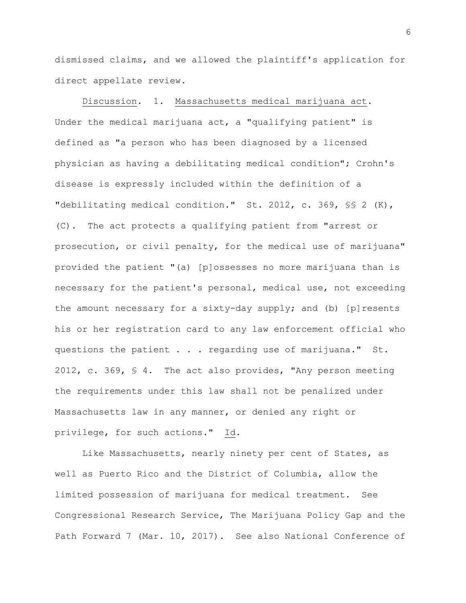dismissed claims, and we allowed the plaintiff's application for direct appellate review.

Discussion. 1. Massachusetts medical marijuana act. Under the medical marijuana act, a "qualifying patient" is defined as "a person who has been diagnosed by a licensed physician as having a debilitating medical condition"; Crohn's disease is expressly included within the definition of a "debilitating medical condition." St. 2012, c. 369, §§ 2 (K), (C). The act protects a qualifying patient from "arrest or prosecution, or civil penalty, for the medical use of marijuana" provided the patient "(a) [p]ossesses no more marijuana than is necessary for the patient's personal, medical use, not exceeding the amount necessary for a sixty-day supply; and (b) [p]resents his or her registration card to any law enforcement official who questions the patient . . . regarding use of marijuana." St. 2012, c. 369, § 4. The act also provides, "Any person meeting the requirements under this law shall not be penalized under Massachusetts law in any manner, or denied any right or privilege, for such actions." Id.

Like Massachusetts, nearly ninety per cent of States, as well as Puerto Rico and the District of Columbia, allow the limited possession of marijuana for medical treatment. See Congressional Research Service, The Marijuana Policy Gap and the Path Forward 7 (Mar. 10, 2017). See also National Conference of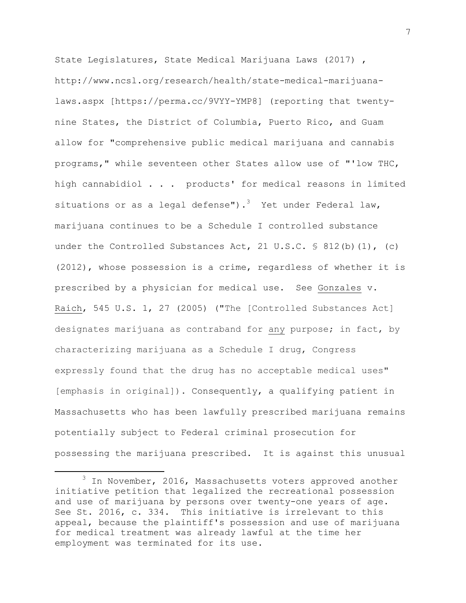State Legislatures, State Medical Marijuana Laws (2017) , http://www.ncsl.org/research/health/state-medical-marijuanalaws.aspx [https://perma.cc/9VYY-YMP8] (reporting that twentynine States, the District of Columbia, Puerto Rico, and Guam allow for "comprehensive public medical marijuana and cannabis programs," while seventeen other States allow use of "'low THC, high cannabidiol . . . products' for medical reasons in limited situations or as a legal defense").<sup>3</sup> Yet under Federal law, marijuana continues to be a Schedule I controlled substance under the Controlled Substances Act, 21 U.S.C.  $\frac{1}{5}$  812(b)(1), (c) (2012), whose possession is a crime, regardless of whether it is prescribed by a physician for medical use. See Gonzales v. Raich, 545 U.S. 1, 27 (2005) ("The [Controlled Substances Act] designates marijuana as contraband for any purpose; in fact, by characterizing marijuana as a Schedule I drug, Congress expressly found that the drug has no acceptable medical uses" [emphasis in original]). Consequently, a qualifying patient in Massachusetts who has been lawfully prescribed marijuana remains potentially subject to Federal criminal prosecution for possessing the marijuana prescribed. It is against this unusual

 $\overline{\phantom{a}}$ 

<sup>3</sup> In November, 2016, Massachusetts voters approved another initiative petition that legalized the recreational possession and use of marijuana by persons over twenty-one years of age. See St. 2016, c. 334. This initiative is irrelevant to this appeal, because the plaintiff's possession and use of marijuana for medical treatment was already lawful at the time her employment was terminated for its use.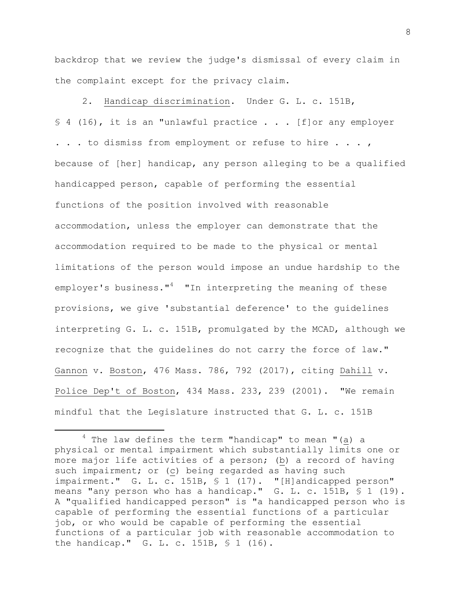backdrop that we review the judge's dismissal of every claim in the complaint except for the privacy claim.

2. Handicap discrimination. Under G. L. c. 151B, § 4 (16), it is an "unlawful practice . . . [f] or any employer . . . to dismiss from employment or refuse to hire . . . , because of [her] handicap, any person alleging to be a qualified handicapped person, capable of performing the essential functions of the position involved with reasonable accommodation, unless the employer can demonstrate that the accommodation required to be made to the physical or mental limitations of the person would impose an undue hardship to the employer's business."<sup>4</sup> "In interpreting the meaning of these provisions, we give 'substantial deference' to the guidelines interpreting G. L. c. 151B, promulgated by the MCAD, although we recognize that the guidelines do not carry the force of law." Gannon v. Boston, 476 Mass. 786, 792 (2017), citing Dahill v. Police Dep't of Boston, 434 Mass. 233, 239 (2001). "We remain mindful that the Legislature instructed that G. L. c. 151B

 $\overline{\phantom{a}}$ 

 $4$  The law defines the term "handicap" to mean "(a) a physical or mental impairment which substantially limits one or more major life activities of a person; (b) a record of having such impairment; or (c) being regarded as having such impairment." G. L. c. 151B, § 1 (17). "[H]andicapped person" means "any person who has a handicap." G. L. c. 151B, § 1 (19). A "qualified handicapped person" is "a handicapped person who is capable of performing the essential functions of a particular job, or who would be capable of performing the essential functions of a particular job with reasonable accommodation to the handicap." G. L. c. 151B, § 1 (16).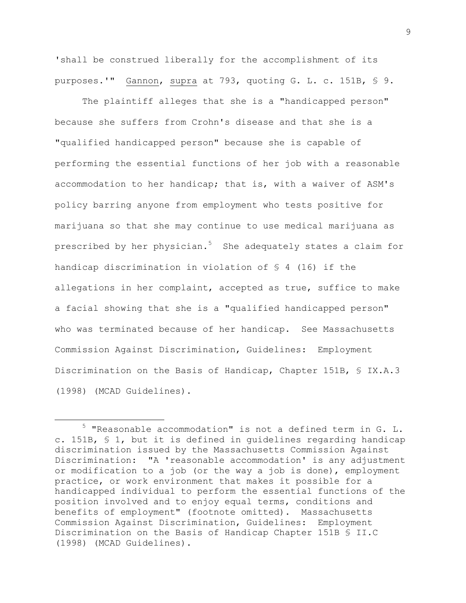'shall be construed liberally for the accomplishment of its purposes.'" Gannon, supra at 793, quoting G. L. c. 151B, § 9.

The plaintiff alleges that she is a "handicapped person" because she suffers from Crohn's disease and that she is a "qualified handicapped person" because she is capable of performing the essential functions of her job with a reasonable accommodation to her handicap; that is, with a waiver of ASM's policy barring anyone from employment who tests positive for marijuana so that she may continue to use medical marijuana as prescribed by her physician.<sup>5</sup> She adequately states a claim for handicap discrimination in violation of § 4 (16) if the allegations in her complaint, accepted as true, suffice to make a facial showing that she is a "qualified handicapped person" who was terminated because of her handicap. See Massachusetts Commission Against Discrimination, Guidelines: Employment Discrimination on the Basis of Handicap, Chapter 151B, § IX.A.3 (1998) (MCAD Guidelines).

l

<sup>5</sup> "Reasonable accommodation" is not a defined term in G. L. c. 151B, § 1, but it is defined in guidelines regarding handicap discrimination issued by the Massachusetts Commission Against Discrimination: "A 'reasonable accommodation' is any adjustment or modification to a job (or the way a job is done), employment practice, or work environment that makes it possible for a handicapped individual to perform the essential functions of the position involved and to enjoy equal terms, conditions and benefits of employment" (footnote omitted). Massachusetts Commission Against Discrimination, Guidelines: Employment Discrimination on the Basis of Handicap Chapter 151B § II.C (1998) (MCAD Guidelines).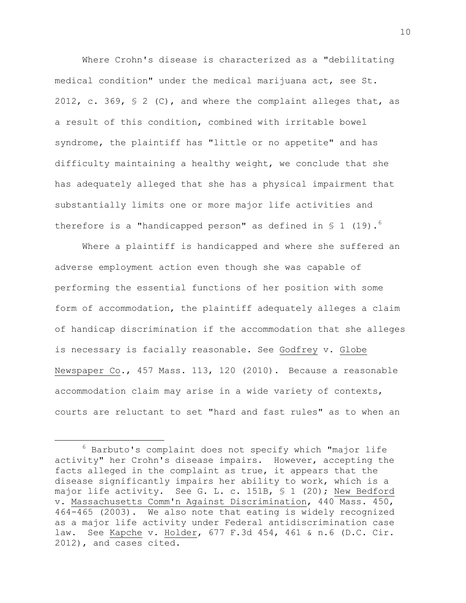Where Crohn's disease is characterized as a "debilitating medical condition" under the medical marijuana act, see St. 2012, c. 369, § 2 (C), and where the complaint alleges that, as a result of this condition, combined with irritable bowel syndrome, the plaintiff has "little or no appetite" and has difficulty maintaining a healthy weight, we conclude that she has adequately alleged that she has a physical impairment that substantially limits one or more major life activities and therefore is a "handicapped person" as defined in  $\S$  1 (19).<sup>6</sup>

Where a plaintiff is handicapped and where she suffered an adverse employment action even though she was capable of performing the essential functions of her position with some form of accommodation, the plaintiff adequately alleges a claim of handicap discrimination if the accommodation that she alleges is necessary is facially reasonable. See Godfrey v. Globe Newspaper Co., 457 Mass. 113, 120 (2010). Because a reasonable accommodation claim may arise in a wide variety of contexts, courts are reluctant to set "hard and fast rules" as to when an

 $\overline{\phantom{a}}$ 

 $6$  Barbuto's complaint does not specify which "major life activity" her Crohn's disease impairs. However, accepting the facts alleged in the complaint as true, it appears that the disease significantly impairs her ability to work, which is a major life activity. See G. L. c. 151B, § 1 (20); New Bedford v. Massachusetts Comm'n Against Discrimination, 440 Mass. 450, 464-465 (2003). We also note that eating is widely recognized as a major life activity under Federal antidiscrimination case law. See Kapche v. Holder, 677 F.3d 454, 461 & n.6 (D.C. Cir. 2012), and cases cited.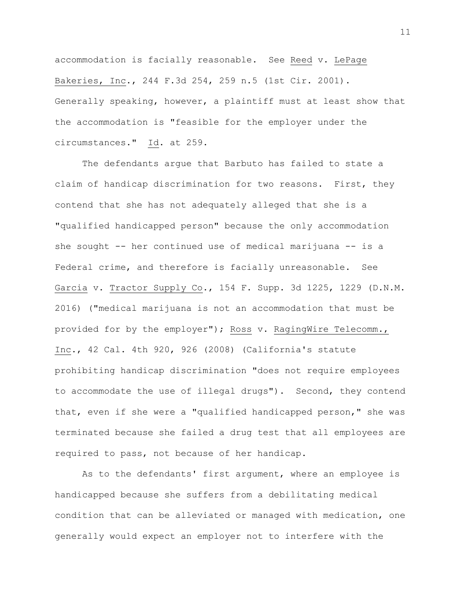accommodation is facially reasonable. See Reed v. LePage Bakeries, Inc., 244 F.3d 254, 259 n.5 (1st Cir. 2001). Generally speaking, however, a plaintiff must at least show that the accommodation is "feasible for the employer under the circumstances." Id. at 259.

The defendants argue that Barbuto has failed to state a claim of handicap discrimination for two reasons. First, they contend that she has not adequately alleged that she is a "qualified handicapped person" because the only accommodation she sought -- her continued use of medical marijuana -- is a Federal crime, and therefore is facially unreasonable. See Garcia v. Tractor Supply Co., 154 F. Supp. 3d 1225, 1229 (D.N.M. 2016) ("medical marijuana is not an accommodation that must be provided for by the employer"); Ross v. RagingWire Telecomm., Inc., 42 Cal. 4th 920, 926 (2008) (California's statute prohibiting handicap discrimination "does not require employees to accommodate the use of illegal drugs"). Second, they contend that, even if she were a "qualified handicapped person," she was terminated because she failed a drug test that all employees are required to pass, not because of her handicap.

As to the defendants' first argument, where an employee is handicapped because she suffers from a debilitating medical condition that can be alleviated or managed with medication, one generally would expect an employer not to interfere with the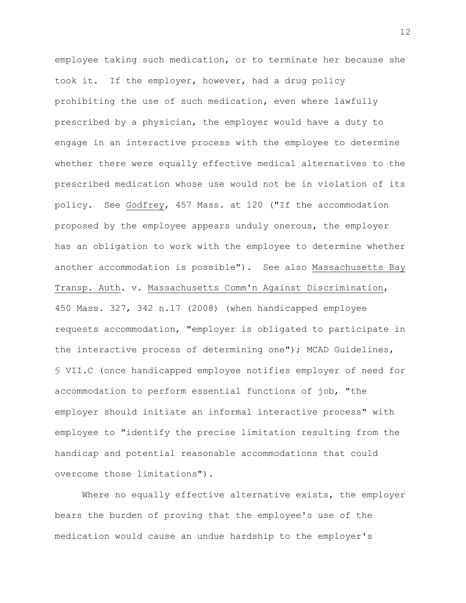employee taking such medication, or to terminate her because she took it. If the employer, however, had a drug policy prohibiting the use of such medication, even where lawfully prescribed by a physician, the employer would have a duty to engage in an interactive process with the employee to determine whether there were equally effective medical alternatives to the prescribed medication whose use would not be in violation of its policy. See Godfrey, 457 Mass. at 120 ("If the accommodation proposed by the employee appears unduly onerous, the employer has an obligation to work with the employee to determine whether another accommodation is possible"). See also Massachusetts Bay Transp. Auth. v. Massachusetts Comm'n Against Discrimination, 450 Mass. 327, 342 n.17 (2008) (when handicapped employee requests accommodation, "employer is obligated to participate in the interactive process of determining one"); MCAD Guidelines, § VII.C (once handicapped employee notifies employer of need for accommodation to perform essential functions of job, "the employer should initiate an informal interactive process" with employee to "identify the precise limitation resulting from the handicap and potential reasonable accommodations that could overcome those limitations").

Where no equally effective alternative exists, the employer bears the burden of proving that the employee's use of the medication would cause an undue hardship to the employer's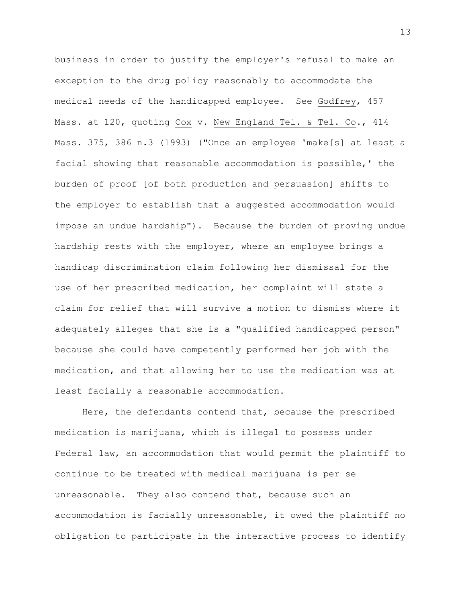business in order to justify the employer's refusal to make an exception to the drug policy reasonably to accommodate the medical needs of the handicapped employee. See Godfrey, 457 Mass. at 120, quoting Cox v. New England Tel. & Tel. Co., 414 Mass. 375, 386 n.3 (1993) ("Once an employee 'make[s] at least a facial showing that reasonable accommodation is possible,' the burden of proof [of both production and persuasion] shifts to the employer to establish that a suggested accommodation would impose an undue hardship"). Because the burden of proving undue hardship rests with the employer, where an employee brings a handicap discrimination claim following her dismissal for the use of her prescribed medication, her complaint will state a claim for relief that will survive a motion to dismiss where it adequately alleges that she is a "qualified handicapped person" because she could have competently performed her job with the medication, and that allowing her to use the medication was at least facially a reasonable accommodation.

Here, the defendants contend that, because the prescribed medication is marijuana, which is illegal to possess under Federal law, an accommodation that would permit the plaintiff to continue to be treated with medical marijuana is per se unreasonable. They also contend that, because such an accommodation is facially unreasonable, it owed the plaintiff no obligation to participate in the interactive process to identify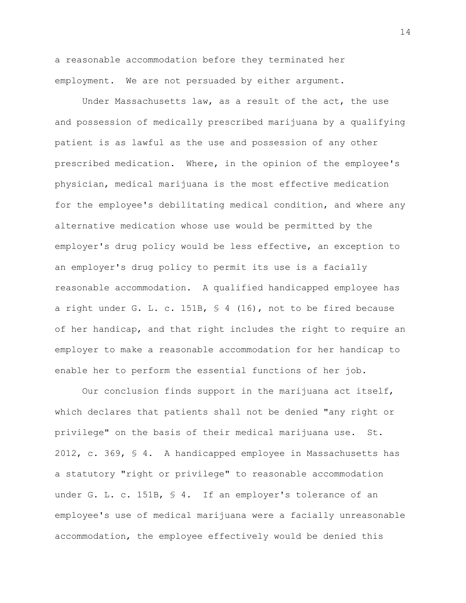a reasonable accommodation before they terminated her employment. We are not persuaded by either argument.

Under Massachusetts law, as a result of the act, the use and possession of medically prescribed marijuana by a qualifying patient is as lawful as the use and possession of any other prescribed medication. Where, in the opinion of the employee's physician, medical marijuana is the most effective medication for the employee's debilitating medical condition, and where any alternative medication whose use would be permitted by the employer's drug policy would be less effective, an exception to an employer's drug policy to permit its use is a facially reasonable accommodation. A qualified handicapped employee has a right under G. L. c. 151B, § 4 (16), not to be fired because of her handicap, and that right includes the right to require an employer to make a reasonable accommodation for her handicap to enable her to perform the essential functions of her job.

Our conclusion finds support in the marijuana act itself, which declares that patients shall not be denied "any right or privilege" on the basis of their medical marijuana use. St. 2012, c. 369, § 4. A handicapped employee in Massachusetts has a statutory "right or privilege" to reasonable accommodation under G. L. c. 151B, § 4. If an employer's tolerance of an employee's use of medical marijuana were a facially unreasonable accommodation, the employee effectively would be denied this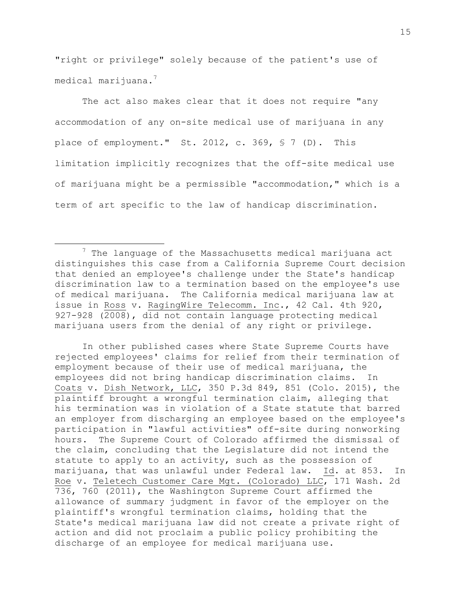"right or privilege" solely because of the patient's use of medical marijuana.<sup>7</sup>

The act also makes clear that it does not require "any accommodation of any on-site medical use of marijuana in any place of employment." St. 2012, c. 369, § 7 (D). This limitation implicitly recognizes that the off-site medical use of marijuana might be a permissible "accommodation," which is a term of art specific to the law of handicap discrimination.

 $\overline{\phantom{a}}$ 

In other published cases where State Supreme Courts have rejected employees' claims for relief from their termination of employment because of their use of medical marijuana, the employees did not bring handicap discrimination claims. In Coats v. Dish Network, LLC, 350 P.3d 849, 851 (Colo. 2015), the plaintiff brought a wrongful termination claim, alleging that his termination was in violation of a State statute that barred an employer from discharging an employee based on the employee's participation in "lawful activities" off-site during nonworking hours. The Supreme Court of Colorado affirmed the dismissal of the claim, concluding that the Legislature did not intend the statute to apply to an activity, such as the possession of marijuana, that was unlawful under Federal law. Id. at 853. In Roe v. Teletech Customer Care Mgt. (Colorado) LLC, 171 Wash. 2d 736, 760 (2011), the Washington Supreme Court affirmed the allowance of summary judgment in favor of the employer on the plaintiff's wrongful termination claims, holding that the State's medical marijuana law did not create a private right of action and did not proclaim a public policy prohibiting the discharge of an employee for medical marijuana use.

 $7$  The language of the Massachusetts medical marijuana act distinguishes this case from a California Supreme Court decision that denied an employee's challenge under the State's handicap discrimination law to a termination based on the employee's use of medical marijuana. The California medical marijuana law at issue in Ross v. RagingWire Telecomm. Inc., 42 Cal. 4th 920, 927-928 (2008), did not contain language protecting medical marijuana users from the denial of any right or privilege.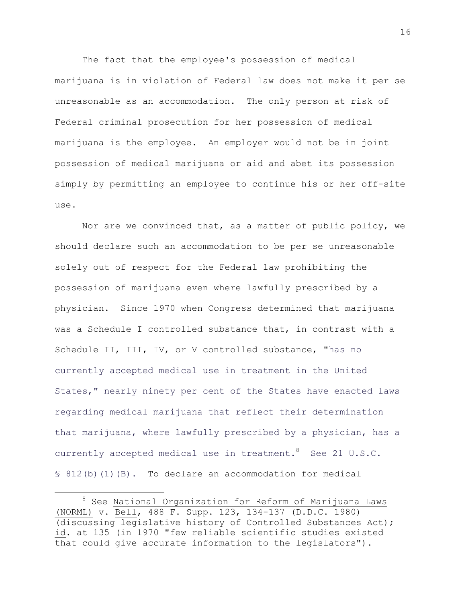The fact that the employee's possession of medical marijuana is in violation of Federal law does not make it per se unreasonable as an accommodation. The only person at risk of Federal criminal prosecution for her possession of medical marijuana is the employee. An employer would not be in joint possession of medical marijuana or aid and abet its possession simply by permitting an employee to continue his or her off-site use.

Nor are we convinced that, as a matter of public policy, we should declare such an accommodation to be per se unreasonable solely out of respect for the Federal law prohibiting the possession of marijuana even where lawfully prescribed by a physician. Since 1970 when Congress determined that marijuana was a Schedule I controlled substance that, in contrast with a Schedule II, III, IV, or V controlled substance, "has no currently accepted medical use in treatment in the United States," nearly ninety per cent of the States have enacted laws regarding medical marijuana that reflect their determination that marijuana, where lawfully prescribed by a physician, has a currently accepted medical use in treatment.  $8$  See 21 U.S.C. § 812(b)(1)(B). To declare an accommodation for medical

 $\overline{a}$ 

<sup>&</sup>lt;sup>8</sup> See National Organization for Reform of Marijuana Laws (NORML) v. Bell, 488 F. Supp. 123, 134-137 (D.D.C. 1980) (discussing legislative history of Controlled Substances Act); id. at 135 (in 1970 "few reliable scientific studies existed that could give accurate information to the legislators").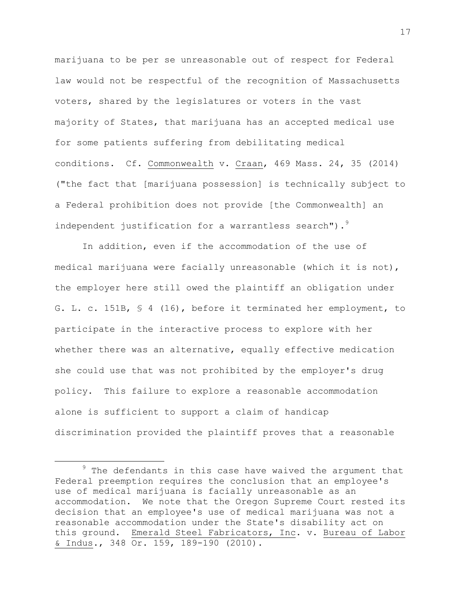marijuana to be per se unreasonable out of respect for Federal law would not be respectful of the recognition of Massachusetts voters, shared by the legislatures or voters in the vast majority of States, that marijuana has an accepted medical use for some patients suffering from debilitating medical conditions. Cf. Commonwealth v. Craan, 469 Mass. 24, 35 (2014) ("the fact that [marijuana possession] is technically subject to a Federal prohibition does not provide [the Commonwealth] an independent justification for a warrantless search").<sup>9</sup>

In addition, even if the accommodation of the use of medical marijuana were facially unreasonable (which it is not), the employer here still owed the plaintiff an obligation under G. L. c. 151B, § 4 (16), before it terminated her employment, to participate in the interactive process to explore with her whether there was an alternative, equally effective medication she could use that was not prohibited by the employer's drug policy. This failure to explore a reasonable accommodation alone is sufficient to support a claim of handicap discrimination provided the plaintiff proves that a reasonable

l

 $9$  The defendants in this case have waived the argument that Federal preemption requires the conclusion that an employee's use of medical marijuana is facially unreasonable as an accommodation. We note that the Oregon Supreme Court rested its decision that an employee's use of medical marijuana was not a reasonable accommodation under the State's disability act on this ground. Emerald Steel Fabricators, Inc. v. Bureau of Labor & Indus., 348 Or. 159, 189-190 (2010).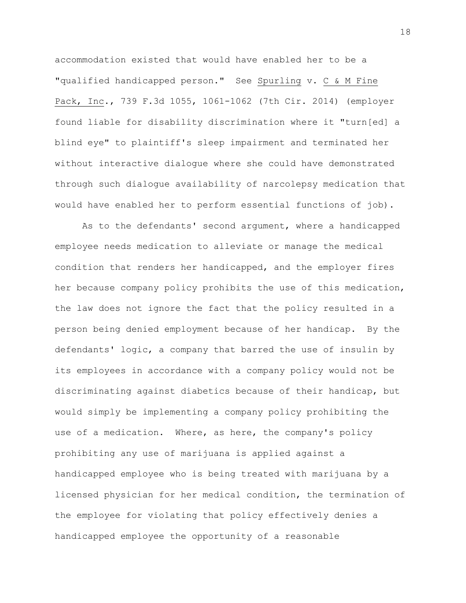accommodation existed that would have enabled her to be a "qualified handicapped person." See Spurling v. C & M Fine Pack, Inc., 739 F.3d 1055, 1061-1062 (7th Cir. 2014) (employer found liable for disability discrimination where it "turn[ed] a blind eye" to plaintiff's sleep impairment and terminated her without interactive dialogue where she could have demonstrated through such dialogue availability of narcolepsy medication that would have enabled her to perform essential functions of job).

As to the defendants' second argument, where a handicapped employee needs medication to alleviate or manage the medical condition that renders her handicapped, and the employer fires her because company policy prohibits the use of this medication, the law does not ignore the fact that the policy resulted in a person being denied employment because of her handicap. By the defendants' logic, a company that barred the use of insulin by its employees in accordance with a company policy would not be discriminating against diabetics because of their handicap, but would simply be implementing a company policy prohibiting the use of a medication. Where, as here, the company's policy prohibiting any use of marijuana is applied against a handicapped employee who is being treated with marijuana by a licensed physician for her medical condition, the termination of the employee for violating that policy effectively denies a handicapped employee the opportunity of a reasonable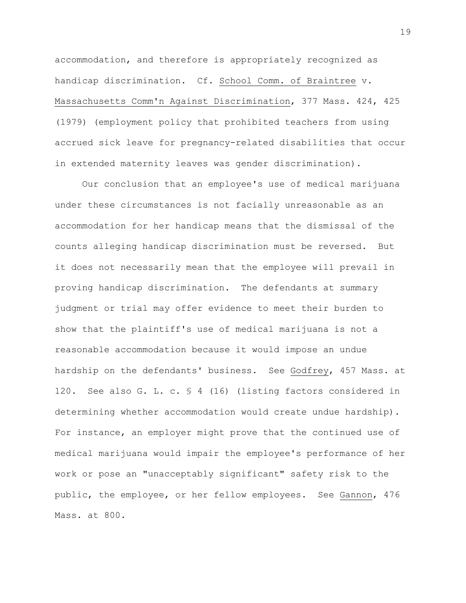accommodation, and therefore is appropriately recognized as handicap discrimination. Cf. School Comm. of Braintree v. Massachusetts Comm'n Against Discrimination, 377 Mass. 424, 425 (1979) (employment policy that prohibited teachers from using accrued sick leave for pregnancy-related disabilities that occur in extended maternity leaves was gender discrimination).

Our conclusion that an employee's use of medical marijuana under these circumstances is not facially unreasonable as an accommodation for her handicap means that the dismissal of the counts alleging handicap discrimination must be reversed. But it does not necessarily mean that the employee will prevail in proving handicap discrimination. The defendants at summary judgment or trial may offer evidence to meet their burden to show that the plaintiff's use of medical marijuana is not a reasonable accommodation because it would impose an undue hardship on the defendants' business. See Godfrey, 457 Mass. at 120. See also G. L. c. § 4 (16) (listing factors considered in determining whether accommodation would create undue hardship). For instance, an employer might prove that the continued use of medical marijuana would impair the employee's performance of her work or pose an "unacceptably significant" safety risk to the public, the employee, or her fellow employees. See Gannon, 476 Mass. at 800.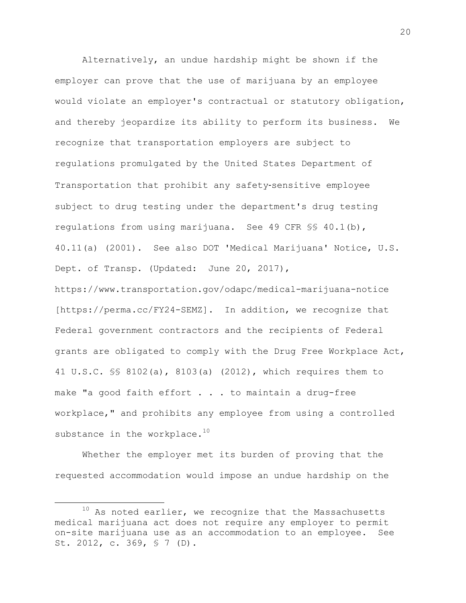Alternatively, an undue hardship might be shown if the employer can prove that the use of marijuana by an employee would violate an employer's contractual or statutory obligation, and thereby jeopardize its ability to perform its business. We recognize that transportation employers are subject to regulations promulgated by the United States Department of Transportation that prohibit any safety‐sensitive employee subject to drug testing under the department's drug testing regulations from using marijuana. See 49 CFR §§ 40.1(b), 40.11(a) (2001). See also DOT 'Medical Marijuana' Notice, U.S. Dept. of Transp. (Updated: June 20, 2017), https://www.transportation.gov/odapc/medical-marijuana-notice [https://perma.cc/FY24-SEMZ]. In addition, we recognize that Federal government contractors and the recipients of Federal grants are obligated to comply with the Drug Free Workplace Act, 41 U.S.C. §§ 8102(a), 8103(a) (2012), which requires them to make "a good faith effort . . . to maintain a drug-free

workplace," and prohibits any employee from using a controlled substance in the workplace. $10$ 

Whether the employer met its burden of proving that the requested accommodation would impose an undue hardship on the

l

 $10$  As noted earlier, we recognize that the Massachusetts medical marijuana act does not require any employer to permit on-site marijuana use as an accommodation to an employee. See St. 2012, c. 369, § 7 (D).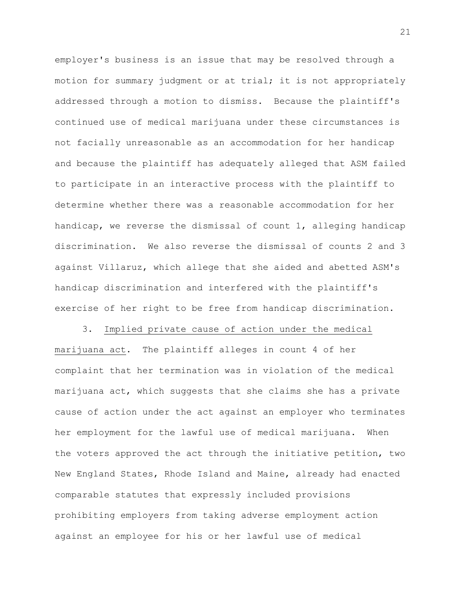employer's business is an issue that may be resolved through a motion for summary judgment or at trial; it is not appropriately addressed through a motion to dismiss. Because the plaintiff's continued use of medical marijuana under these circumstances is not facially unreasonable as an accommodation for her handicap and because the plaintiff has adequately alleged that ASM failed to participate in an interactive process with the plaintiff to determine whether there was a reasonable accommodation for her handicap, we reverse the dismissal of count 1, alleging handicap discrimination. We also reverse the dismissal of counts 2 and 3 against Villaruz, which allege that she aided and abetted ASM's handicap discrimination and interfered with the plaintiff's exercise of her right to be free from handicap discrimination.

3. Implied private cause of action under the medical marijuana act. The plaintiff alleges in count 4 of her complaint that her termination was in violation of the medical marijuana act, which suggests that she claims she has a private cause of action under the act against an employer who terminates her employment for the lawful use of medical marijuana. When the voters approved the act through the initiative petition, two New England States, Rhode Island and Maine, already had enacted comparable statutes that expressly included provisions prohibiting employers from taking adverse employment action against an employee for his or her lawful use of medical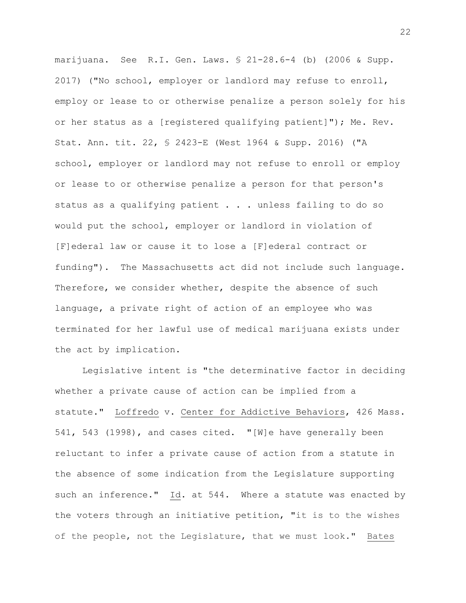marijuana. See R.I. Gen. Laws. § 21-28.6-4 (b) (2006 & Supp. 2017) ("No school, employer or landlord may refuse to enroll, employ or lease to or otherwise penalize a person solely for his or her status as a [registered qualifying patient]"); Me. Rev. Stat. Ann. tit. 22, § 2423-E (West 1964 & Supp. 2016) ("A school, employer or landlord may not refuse to enroll or employ or lease to or otherwise penalize a person for that person's status as a qualifying patient . . . unless failing to do so would put the school, employer or landlord in violation of [F]ederal law or cause it to lose a [F]ederal contract or funding"). The Massachusetts act did not include such language. Therefore, we consider whether, despite the absence of such language, a private right of action of an employee who was terminated for her lawful use of medical marijuana exists under the act by implication.

Legislative intent is "the determinative factor in deciding whether a private cause of action can be implied from a statute." Loffredo v. Center for Addictive Behaviors, 426 Mass. 541, 543 (1998), and cases cited. "[W]e have generally been reluctant to infer a private cause of action from a statute in the absence of some indication from the Legislature supporting such an inference." Id. at 544. Where a statute was enacted by the voters through an initiative petition, "it is to the wishes of the people, not the Legislature, that we must look." Bates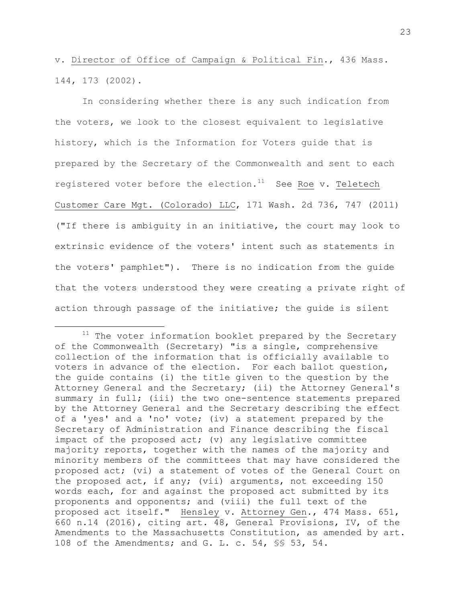v. Director of Office of Campaign & Political Fin., 436 Mass. 144, 173 (2002).

In considering whether there is any such indication from the voters, we look to the closest equivalent to legislative history, which is the Information for Voters guide that is prepared by the Secretary of the Commonwealth and sent to each registered voter before the election. $11$  See Roe v. Teletech Customer Care Mgt. (Colorado) LLC, 171 Wash. 2d 736, 747 (2011) ("If there is ambiguity in an initiative, the court may look to extrinsic evidence of the voters' intent such as statements in the voters' pamphlet"). There is no indication from the guide that the voters understood they were creating a private right of action through passage of the initiative; the guide is silent

 $\overline{\phantom{a}}$ 

 $11$  The voter information booklet prepared by the Secretary of the Commonwealth (Secretary) "is a single, comprehensive collection of the information that is officially available to voters in advance of the election. For each ballot question, the guide contains (i) the title given to the question by the Attorney General and the Secretary; (ii) the Attorney General's summary in full; (iii) the two one-sentence statements prepared by the Attorney General and the Secretary describing the effect of a 'yes' and a 'no' vote; (iv) a statement prepared by the Secretary of Administration and Finance describing the fiscal impact of the proposed act; (v) any legislative committee majority reports, together with the names of the majority and minority members of the committees that may have considered the proposed act; (vi) a statement of votes of the General Court on the proposed act, if any; (vii) arguments, not exceeding 150 words each, for and against the proposed act submitted by its proponents and opponents; and (viii) the full text of the proposed act itself." Hensley v. Attorney Gen., 474 Mass. 651, 660 n.14 (2016), citing art. 48, General Provisions, IV, of the Amendments to the Massachusetts Constitution, as amended by art. 108 of the Amendments; and G. L. c. 54, §§ 53, 54.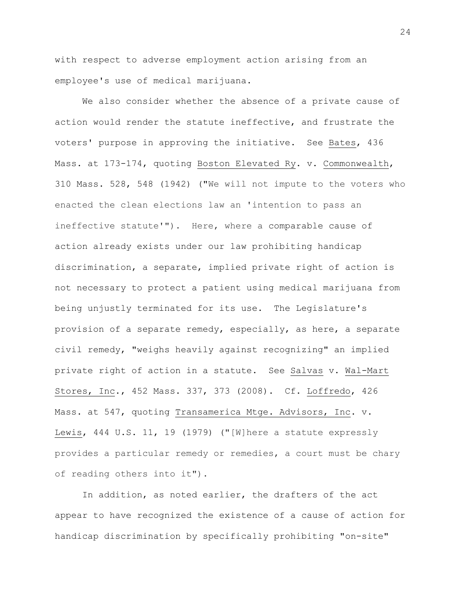with respect to adverse employment action arising from an employee's use of medical marijuana.

We also consider whether the absence of a private cause of action would render the statute ineffective, and frustrate the voters' purpose in approving the initiative. See Bates, 436 Mass. at 173-174, quoting Boston Elevated Ry. v. Commonwealth, 310 Mass. 528, 548 (1942) ("We will not impute to the voters who enacted the clean elections law an 'intention to pass an ineffective statute'"). Here, where a comparable cause of action already exists under our law prohibiting handicap discrimination, a separate, implied private right of action is not necessary to protect a patient using medical marijuana from being unjustly terminated for its use. The Legislature's provision of a separate remedy, especially, as here, a separate civil remedy, "weighs heavily against recognizing" an implied private right of action in a statute. See Salvas v. Wal-Mart Stores, Inc., 452 Mass. 337, 373 (2008). Cf. Loffredo, 426 Mass. at 547, quoting Transamerica Mtge. Advisors, Inc. v. Lewis, 444 U.S. 11, 19 (1979) ("[W]here a statute expressly provides a particular remedy or remedies, a court must be chary of reading others into it").

In addition, as noted earlier, the drafters of the act appear to have recognized the existence of a cause of action for handicap discrimination by specifically prohibiting "on-site"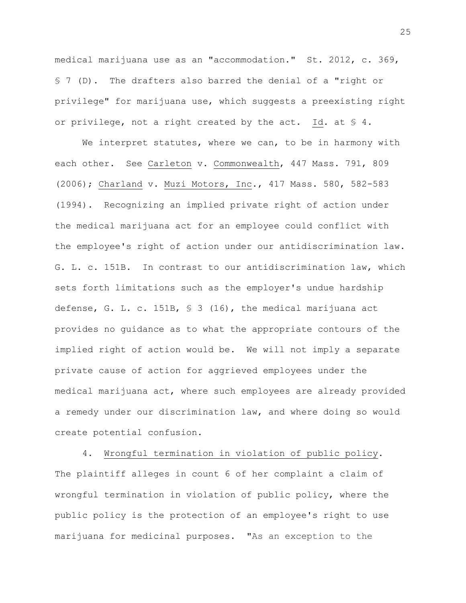medical marijuana use as an "accommodation." St. 2012, c. 369, § 7 (D). The drafters also barred the denial of a "right or privilege" for marijuana use, which suggests a preexisting right or privilege, not a right created by the act. Id. at  $\S$  4.

We interpret statutes, where we can, to be in harmony with each other. See Carleton v. Commonwealth, 447 Mass. 791, 809 (2006); Charland v. Muzi Motors, Inc., 417 Mass. 580, 582-583 (1994). Recognizing an implied private right of action under the medical marijuana act for an employee could conflict with the employee's right of action under our antidiscrimination law. G. L. c. 151B. In contrast to our antidiscrimination law, which sets forth limitations such as the employer's undue hardship defense, G. L. c. 151B, § 3 (16), the medical marijuana act provides no guidance as to what the appropriate contours of the implied right of action would be. We will not imply a separate private cause of action for aggrieved employees under the medical marijuana act, where such employees are already provided a remedy under our discrimination law, and where doing so would create potential confusion.

4. Wrongful termination in violation of public policy. The plaintiff alleges in count 6 of her complaint a claim of wrongful termination in violation of public policy, where the public policy is the protection of an employee's right to use marijuana for medicinal purposes. "As an exception to the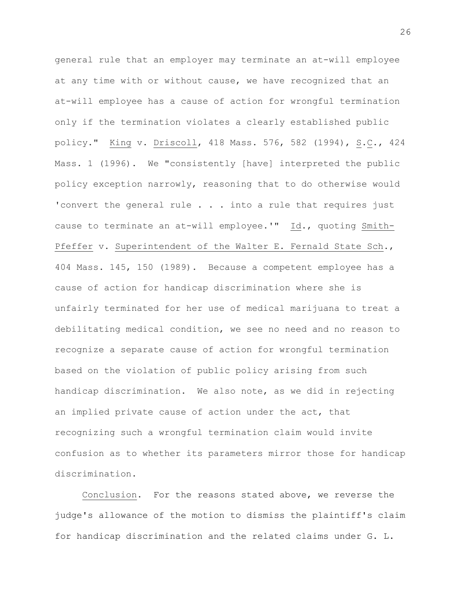general rule that an employer may terminate an at-will employee at any time with or without cause, we have recognized that an at-will employee has a cause of action for wrongful termination only if the termination violates a clearly established public policy." King v. Driscoll, 418 Mass. 576, 582 (1994), S.C., 424 Mass. 1 (1996). We "consistently [have] interpreted the public policy exception narrowly, reasoning that to do otherwise would 'convert the general rule . . . into a rule that requires just cause to terminate an at-will employee.'" Id., quoting Smith-Pfeffer v. Superintendent of the Walter E. Fernald State Sch., 404 Mass. 145, 150 (1989). Because a competent employee has a cause of action for handicap discrimination where she is unfairly terminated for her use of medical marijuana to treat a debilitating medical condition, we see no need and no reason to recognize a separate cause of action for wrongful termination based on the violation of public policy arising from such handicap discrimination. We also note, as we did in rejecting an implied private cause of action under the act, that recognizing such a wrongful termination claim would invite confusion as to whether its parameters mirror those for handicap discrimination.

Conclusion. For the reasons stated above, we reverse the judge's allowance of the motion to dismiss the plaintiff's claim for handicap discrimination and the related claims under G. L.